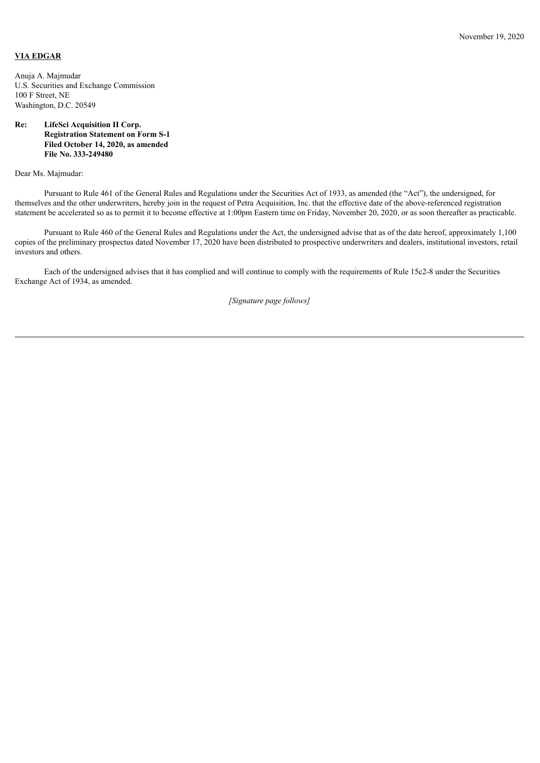## **VIA EDGAR**

Anuja A. Majmudar U.S. Securities and Exchange Commission 100 F Street, NE Washington, D.C. 20549

## **Re: LifeSci Acquisition II Corp. Registration Statement on Form S-1 Filed October 14, 2020, as amended File No. 333-249480**

Dear Ms. Majmudar:

Pursuant to Rule 461 of the General Rules and Regulations under the Securities Act of 1933, as amended (the "Act"), the undersigned, for themselves and the other underwriters, hereby join in the request of Petra Acquisition, Inc. that the effective date of the above-referenced registration statement be accelerated so as to permit it to become effective at 1:00pm Eastern time on Friday, November 20, 2020, or as soon thereafter as practicable.

Pursuant to Rule 460 of the General Rules and Regulations under the Act, the undersigned advise that as of the date hereof, approximately 1,100 copies of the preliminary prospectus dated November 17, 2020 have been distributed to prospective underwriters and dealers, institutional investors, retail investors and others.

Each of the undersigned advises that it has complied and will continue to comply with the requirements of Rule 15c2-8 under the Securities Exchange Act of 1934, as amended.

*[Signature page follows]*